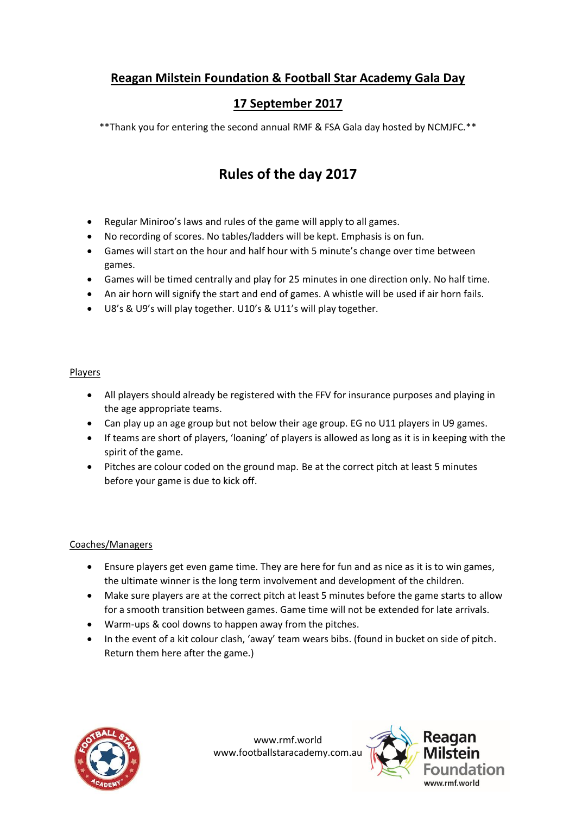### **Reagan Milstein Foundation & Football Star Academy Gala Day**

## **17 September 2017**

\*\*Thank you for entering the second annual RMF & FSA Gala day hosted by NCMJFC.\*\*

## **Rules of the day 2017**

- Regular Miniroo's laws and rules of the game will apply to all games.
- No recording of scores. No tables/ladders will be kept. Emphasis is on fun.
- Games will start on the hour and half hour with 5 minute's change over time between games.
- Games will be timed centrally and play for 25 minutes in one direction only. No half time.
- An air horn will signify the start and end of games. A whistle will be used if air horn fails.
- U8's & U9's will play together. U10's & U11's will play together.

#### **Players**

- All players should already be registered with the FFV for insurance purposes and playing in the age appropriate teams.
- Can play up an age group but not below their age group. EG no U11 players in U9 games.
- If teams are short of players, 'loaning' of players is allowed as long as it is in keeping with the spirit of the game.
- Pitches are colour coded on the ground map. Be at the correct pitch at least 5 minutes before your game is due to kick off.

#### Coaches/Managers

- Ensure players get even game time. They are here for fun and as nice as it is to win games, the ultimate winner is the long term involvement and development of the children.
- Make sure players are at the correct pitch at least 5 minutes before the game starts to allow for a smooth transition between games. Game time will not be extended for late arrivals.
- Warm-ups & cool downs to happen away from the pitches.
- In the event of a kit colour clash, 'away' team wears bibs. (found in bucket on side of pitch. Return them here after the game.)



www.rmf.world www.footballstaracademy.com.au